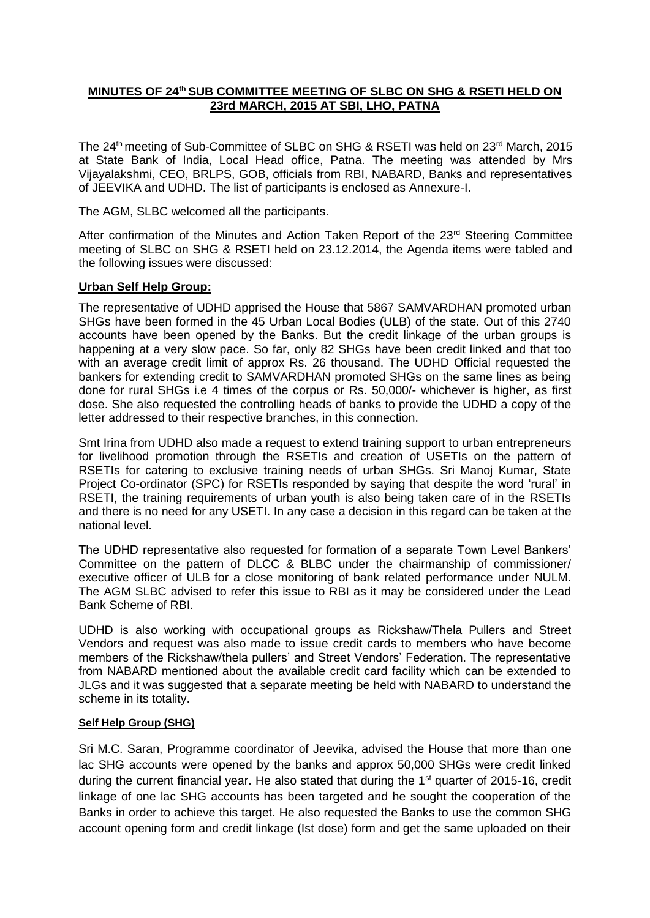# **MINUTES OF 24th SUB COMMITTEE MEETING OF SLBC ON SHG & RSETI HELD ON 23rd MARCH, 2015 AT SBI, LHO, PATNA**

The 24th meeting of Sub-Committee of SLBC on SHG & RSETI was held on 23rd March, 2015 at State Bank of India, Local Head office, Patna. The meeting was attended by Mrs Vijayalakshmi, CEO, BRLPS, GOB, officials from RBI, NABARD, Banks and representatives of JEEVIKA and UDHD. The list of participants is enclosed as Annexure-I.

The AGM, SLBC welcomed all the participants.

After confirmation of the Minutes and Action Taken Report of the 23<sup>rd</sup> Steering Committee meeting of SLBC on SHG & RSETI held on 23.12.2014, the Agenda items were tabled and the following issues were discussed:

#### **Urban Self Help Group:**

The representative of UDHD apprised the House that 5867 SAMVARDHAN promoted urban SHGs have been formed in the 45 Urban Local Bodies (ULB) of the state. Out of this 2740 accounts have been opened by the Banks. But the credit linkage of the urban groups is happening at a very slow pace. So far, only 82 SHGs have been credit linked and that too with an average credit limit of approx Rs. 26 thousand. The UDHD Official requested the bankers for extending credit to SAMVARDHAN promoted SHGs on the same lines as being done for rural SHGs i.e 4 times of the corpus or Rs. 50,000/- whichever is higher, as first dose. She also requested the controlling heads of banks to provide the UDHD a copy of the letter addressed to their respective branches, in this connection.

Smt Irina from UDHD also made a request to extend training support to urban entrepreneurs for livelihood promotion through the RSETIs and creation of USETIs on the pattern of RSETIs for catering to exclusive training needs of urban SHGs. Sri Manoj Kumar, State Project Co-ordinator (SPC) for RSETIs responded by saying that despite the word 'rural' in RSETI, the training requirements of urban youth is also being taken care of in the RSETIs and there is no need for any USETI. In any case a decision in this regard can be taken at the national level.

The UDHD representative also requested for formation of a separate Town Level Bankers' Committee on the pattern of DLCC & BLBC under the chairmanship of commissioner/ executive officer of ULB for a close monitoring of bank related performance under NULM. The AGM SLBC advised to refer this issue to RBI as it may be considered under the Lead Bank Scheme of RBI.

UDHD is also working with occupational groups as Rickshaw/Thela Pullers and Street Vendors and request was also made to issue credit cards to members who have become members of the Rickshaw/thela pullers' and Street Vendors' Federation. The representative from NABARD mentioned about the available credit card facility which can be extended to JLGs and it was suggested that a separate meeting be held with NABARD to understand the scheme in its totality.

#### **Self Help Group (SHG)**

Sri M.C. Saran, Programme coordinator of Jeevika, advised the House that more than one lac SHG accounts were opened by the banks and approx 50,000 SHGs were credit linked during the current financial year. He also stated that during the 1<sup>st</sup> quarter of 2015-16, credit linkage of one lac SHG accounts has been targeted and he sought the cooperation of the Banks in order to achieve this target. He also requested the Banks to use the common SHG account opening form and credit linkage (Ist dose) form and get the same uploaded on their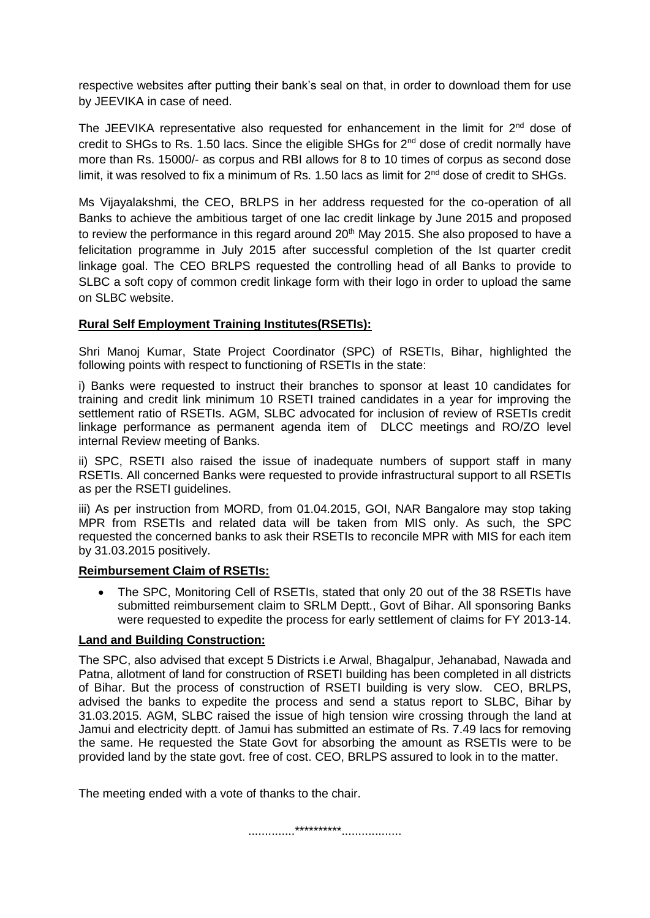respective websites after putting their bank's seal on that, in order to download them for use by JEEVIKA in case of need.

The JEEVIKA representative also requested for enhancement in the limit for  $2<sup>nd</sup>$  dose of credit to SHGs to Rs. 1.50 lacs. Since the eligible SHGs for 2nd dose of credit normally have more than Rs. 15000/- as corpus and RBI allows for 8 to 10 times of corpus as second dose limit, it was resolved to fix a minimum of Rs. 1.50 lacs as limit for 2<sup>nd</sup> dose of credit to SHGs.

Ms Vijayalakshmi, the CEO, BRLPS in her address requested for the co-operation of all Banks to achieve the ambitious target of one lac credit linkage by June 2015 and proposed to review the performance in this regard around 20<sup>th</sup> May 2015. She also proposed to have a felicitation programme in July 2015 after successful completion of the Ist quarter credit linkage goal. The CEO BRLPS requested the controlling head of all Banks to provide to SLBC a soft copy of common credit linkage form with their logo in order to upload the same on SLBC website.

# **Rural Self Employment Training Institutes(RSETIs):**

Shri Manoj Kumar, State Project Coordinator (SPC) of RSETIs, Bihar, highlighted the following points with respect to functioning of RSETIs in the state:

i) Banks were requested to instruct their branches to sponsor at least 10 candidates for training and credit link minimum 10 RSETI trained candidates in a year for improving the settlement ratio of RSETIs. AGM, SLBC advocated for inclusion of review of RSETIs credit linkage performance as permanent agenda item of DLCC meetings and RO/ZO level internal Review meeting of Banks.

ii) SPC, RSETI also raised the issue of inadequate numbers of support staff in many RSETIs. All concerned Banks were requested to provide infrastructural support to all RSETIs as per the RSETI guidelines.

iii) As per instruction from MORD, from 01.04.2015, GOI, NAR Bangalore may stop taking MPR from RSETIs and related data will be taken from MIS only. As such, the SPC requested the concerned banks to ask their RSETIs to reconcile MPR with MIS for each item by 31.03.2015 positively.

## **Reimbursement Claim of RSETIs:**

• The SPC, Monitoring Cell of RSETIs, stated that only 20 out of the 38 RSETIs have submitted reimbursement claim to SRLM Deptt., Govt of Bihar. All sponsoring Banks were requested to expedite the process for early settlement of claims for FY 2013-14.

## **Land and Building Construction:**

The SPC, also advised that except 5 Districts i.e Arwal, Bhagalpur, Jehanabad, Nawada and Patna, allotment of land for construction of RSETI building has been completed in all districts of Bihar. But the process of construction of RSETI building is very slow. CEO, BRLPS, advised the banks to expedite the process and send a status report to SLBC, Bihar by 31.03.2015. AGM, SLBC raised the issue of high tension wire crossing through the land at Jamui and electricity deptt. of Jamui has submitted an estimate of Rs. 7.49 lacs for removing the same. He requested the State Govt for absorbing the amount as RSETIs were to be provided land by the state govt. free of cost. CEO, BRLPS assured to look in to the matter.

The meeting ended with a vote of thanks to the chair.